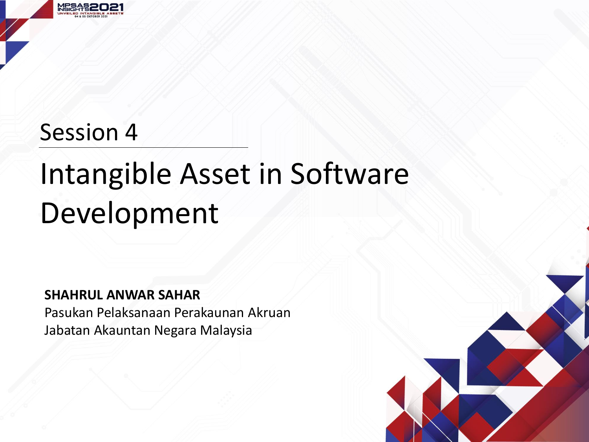

### Session 4

## Intangible Asset in Software Development

#### **SHAHRUL ANWAR SAHAR**

Pasukan Pelaksanaan Perakaunan Akruan Jabatan Akauntan Negara Malaysia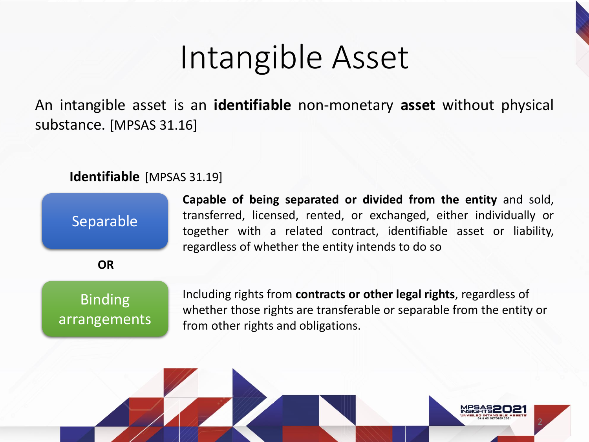## Intangible Asset

An intangible asset is an **identifiable** non-monetary **asset** without physical substance. [MPSAS 31.16]

#### **Identifiable** [MPSAS 31.19]

**Capable of being separated or divided from the entity** and sold, transferred, licensed, rented, or exchanged, either individually or together with a related contract, identifiable asset or liability, regardless of whether the entity intends to do so

Binding arrangements

Separable

**OR**

Including rights from **contracts or other legal rights**, regardless of whether those rights are transferable or separable from the entity or from other rights and obligations.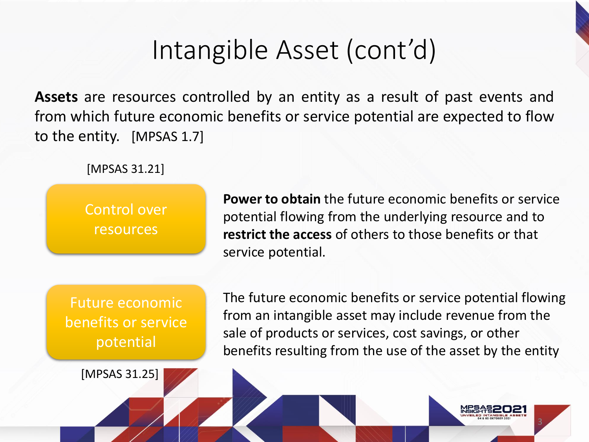## Intangible Asset (cont'd)

**Assets** are resources controlled by an entity as a result of past events and from which future economic benefits or service potential are expected to flow to the entity. [MPSAS 1.7]

[MPSAS 31.21]

Control over resources

**Power to obtain** the future economic benefits or service potential flowing from the underlying resource and to **restrict the access** of others to those benefits or that service potential.

Future economic benefits or service potential

[MPSAS 31.25]

The future economic benefits or service potential flowing from an intangible asset may include revenue from the sale of products or services, cost savings, or other benefits resulting from the use of the asset by the entity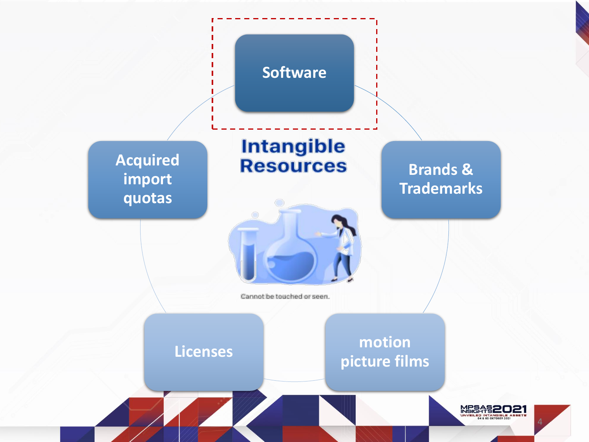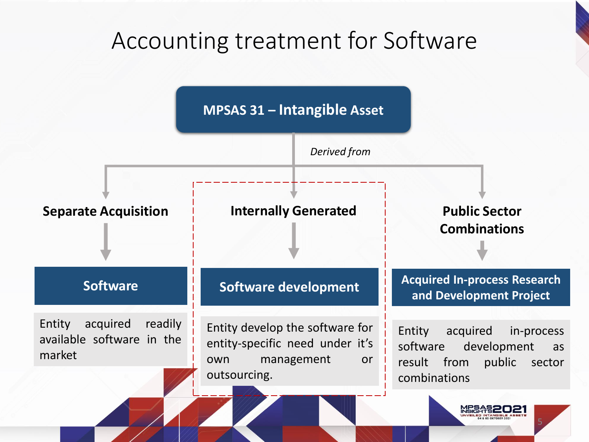### Accounting treatment for Software

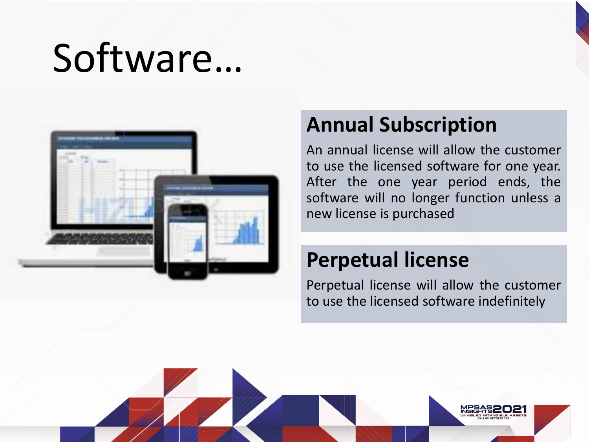# Software…



### **Annual Subscription**

An annual license will allow the customer to use the licensed software for one year. After the one year period ends, the software will no longer function unless a new license is purchased

### **Perpetual license**

Perpetual license will allow the customer to use the licensed software indefinitely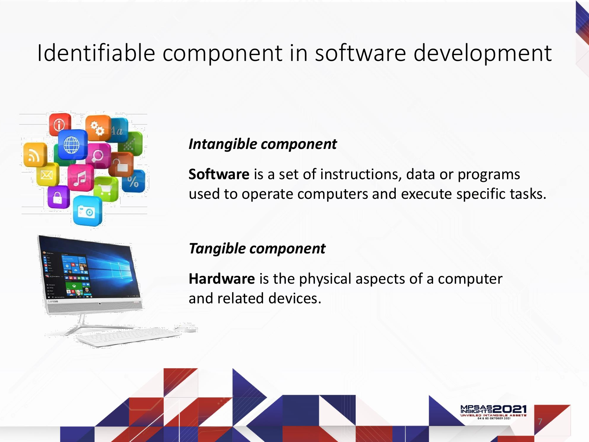### Identifiable component in software development



#### *Intangible component*

**Software** is a set of instructions, data or programs used to operate computers and execute specific tasks.



#### *Tangible component*

**Hardware** is the physical aspects of a computer and related devices.

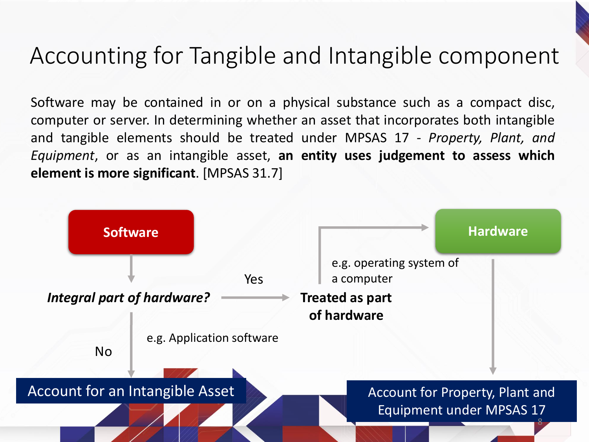### Accounting for Tangible and Intangible component

Software may be contained in or on a physical substance such as a compact disc, computer or server. In determining whether an asset that incorporates both intangible and tangible elements should be treated under MPSAS 17 - *Property, Plant, and Equipment*, or as an intangible asset, **an entity uses judgement to assess which element is more significant**. [MPSAS 31.7]

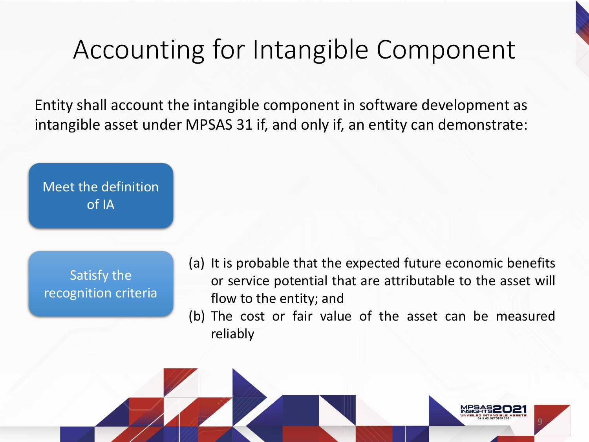### Accounting for Intangible Component

Entity shall account the intangible component in software development as intangible asset under MPSAS 31 if, and only if, an entity can demonstrate:

Meet the definition of IA

Satisfy the recognition criteria

- (a) It is probable that the expected future economic benefits or service potential that are attributable to the asset will flow to the entity; and
- (b) The cost or fair value of the asset can be measured reliably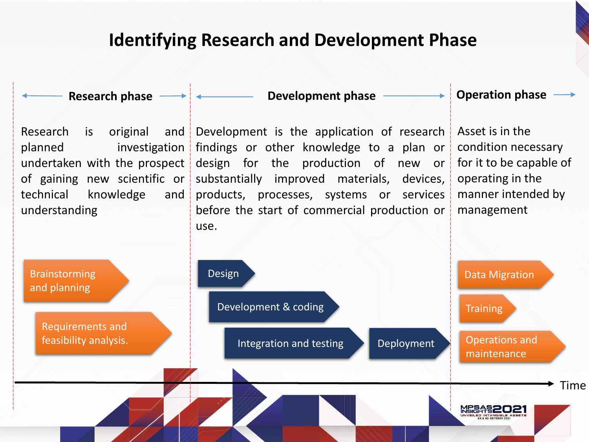#### **Identifying Research and Development Phase**

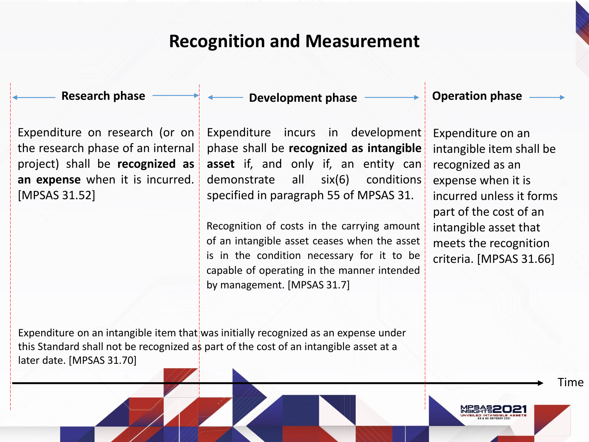#### **Recognition and Measurement**

Expenditure on research (or on the research phase of an internal project) shall be **recognized as an expense** when it is incurred. [MPSAS 31.52]

#### **Research phase Development phase Operation phase**

Expenditure incurs in development phase shall be **recognized as intangible asset** if, and only if, an entity can demonstrate all six(6) conditions specified in paragraph 55 of MPSAS 31.

Recognition of costs in the carrying amount of an intangible asset ceases when the asset is in the condition necessary for it to be capable of operating in the manner intended by management. [MPSAS 31.7]

Expenditure on an intangible item shall be recognized as an expense when it is incurred unless it forms part of the cost of an intangible asset that

meets the recognition criteria. [MPSAS 31.66]

Time

Expenditure on an intangible item that was initially recognized as an expense under this Standard shall not be recognized as part of the cost of an intangible asset at a later date. [MPSAS 31.70]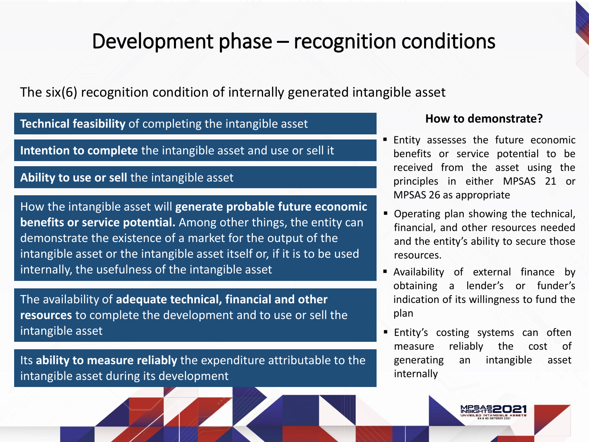### Development phase – recognition conditions

The six(6) recognition condition of internally generated intangible asset

**Technical feasibility** of completing the intangible asset

**Intention to complete** the intangible asset and use or sell it

#### **Ability to use or sell** the intangible asset

How the intangible asset will **generate probable future economic benefits or service potential.** Among other things, the entity can demonstrate the existence of a market for the output of the intangible asset or the intangible asset itself or, if it is to be used internally, the usefulness of the intangible asset

The availability of **adequate technical, financial and other resources** to complete the development and to use or sell the intangible asset

Its **ability to measure reliably** the expenditure attributable to the intangible asset during its development

#### **How to demonstrate?**

- **Entity assesses the future economic** benefits or service potential to be received from the asset using the principles in either MPSAS 21 or MPSAS 26 as appropriate
- Operating plan showing the technical, financial, and other resources needed and the entity's ability to secure those resources.
- Availability of external finance by obtaining a lender's or funder's indication of its willingness to fund the plan
- Entity's costing systems can often measure reliably the cost of generating an intangible asset internally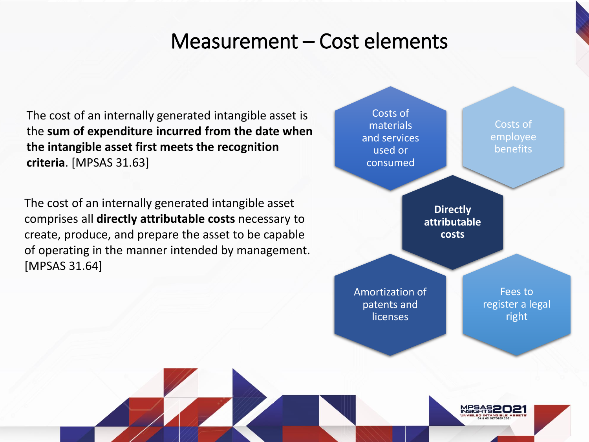#### Measurement – Cost elements

The cost of an internally generated intangible asset is the **sum of expenditure incurred from the date when the intangible asset first meets the recognition criteria**. [MPSAS 31.63]

The cost of an internally generated intangible asset comprises all **directly attributable costs** necessary to create, produce, and prepare the asset to be capable of operating in the manner intended by management. [MPSAS 31.64]

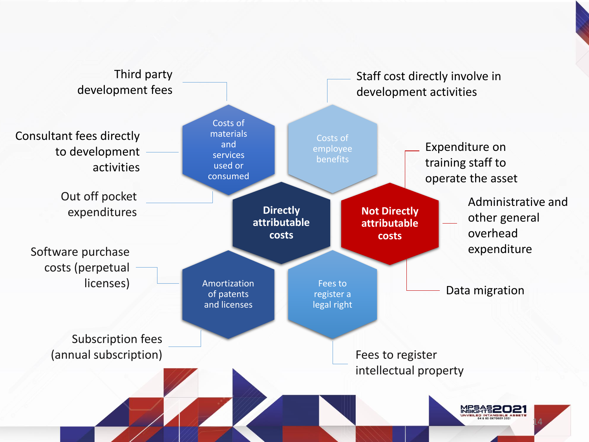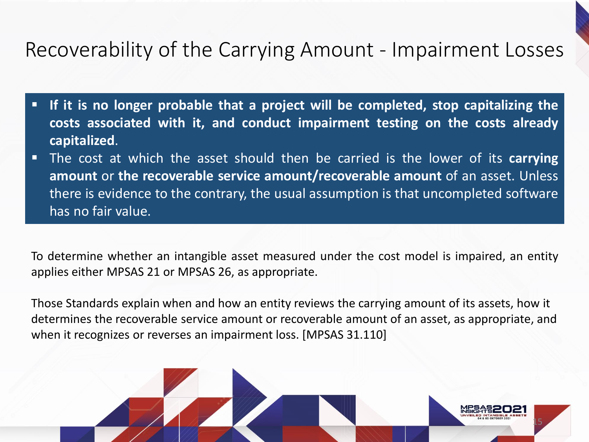### Recoverability of the Carrying Amount - Impairment Losses

- **If it is no longer probable that a project will be completed, stop capitalizing the costs associated with it, and conduct impairment testing on the costs already capitalized**.
- The cost at which the asset should then be carried is the lower of its **carrying amount** or **the recoverable service amount/recoverable amount** of an asset. Unless there is evidence to the contrary, the usual assumption is that uncompleted software has no fair value.

To determine whether an intangible asset measured under the cost model is impaired, an entity applies either MPSAS 21 or MPSAS 26, as appropriate.

Those Standards explain when and how an entity reviews the carrying amount of its assets, how it determines the recoverable service amount or recoverable amount of an asset, as appropriate, and when it recognizes or reverses an impairment loss. [MPSAS 31.110]

15